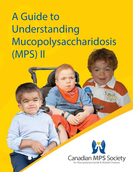# **A Guide to Understanding Mucopolysaccharidosis (MPS) II**

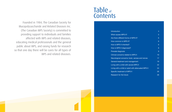Founded in 1984, The Canadian Society for Mucopolysaccharide and Related Diseases Inc. (The Canadian MPS Society) is committed to providing support to individuals and families affected with MPS and related diseases, educating medical professionals and the general public about MPS, and raising funds for research so that one day there will be cures for all types of MPS and related diseases.

# Table of Contents

**Introduction** What causes MPS II Are there different for How common is MP How is MPS II inherit How is MPS II diagne Prenatal diagnosis Clinical concerns related to MPS Neurological concerr General treatment ar Living with a child with Living with a child or Specific treatment of Research for the future

|                              | 4               |
|------------------------------|-----------------|
| Ş                            | 5               |
| rms of MPS II?               | 6               |
| $S$ II?                      | 6               |
| ed?                          | 6               |
| sed?                         | 8               |
|                              | 9               |
| ated to MPS II               | $\overline{10}$ |
| ns: brain, senses and nerves | 17              |
| d management                 | 19              |
| th severe MPS II             | 22              |
| adult with attenuated MPS II | 24              |
| MPS II                       | 26              |
| <b>re</b>                    | 26              |
|                              |                 |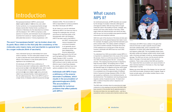# Introduction

Mucopolysaccharidosis II (MPS II, pronounced **mew**·ko·**pol**·ee·**sak**·ah·ri·**doh**·sis two), also called Hunter syndrome, is a mucopolysaccharide storage disease named after Charles Hunter, a professor of medicine in Manitoba who first described two brothers with the disease in 1917. MPS II comprises a wide spectrum of severity, and individuals may be categorized anywhere from severe (or "rapidly progressing") to attenuated (less severe or "slowly progressing"), with

many individuals having an intermediate form somewhere in between. The term attenuated instead of mild is used to describe less severe patients because the effects of the disease on a less severe patient are too significant to be considered mild.

All individuals with MPS II have a deficiency of the enzyme iduronate 2 sulfatase (also called IDS or I2S, pronounced eye·**dur**·o·nate **two sul**·fa·tase), which results in the accumulation of glycosaminoglycans (GAG, pronounced **gly**·cose·a·**mee**·no·**gly**·cans), previously called muco-polysaccharides, inside special parts of the cell called lysosomes. This is why MPS II is part of a larger family of diseases called the lysosomal storage

## What causes MPS II?

As mentioned previously, all MPS disorders are caused by the storage of complex molecules called glycosaminoglycans (GAG). GAG are long chains of sugar molecules used in the building of bones, cartilage, skin, tendons and many other tissues in the body. These sugar chains are submicroscopic and cannot be seen with the eye, but can be studied using special scientific instruments and analytical methods.

GAG form part of the structure of the body and also give the body some of the special features that make it work. For example, the slippery, gooey fluid that lubricates your joints contains GAG. The rubbery resilient cartilage in your joints is another example. All tissues have some of this substance as a normal part of their structure; however, individuals with MPS have too much GAG accumulation.

To understand how GAG accumulation causes MPS II, it is important to understand that in the course of the normal life process, there is a continuous process of building new GAG and breaking down the old - a recycling process. This ongoing recycling process is required to keep the body healthy. The breaking down of GAG occurs in a part of the cell called the lysosome. Lysosomes are basically bags full of digestive enzymes which break down worn-out cellular components. This is why MPS II is considered one of the approximately 40 different kinds of lysosomal storage diseases (LSDs). All LSDs are caused by a deficiency of an individual enzyme – a biochemical tool. The breakdown and recycling process requires a series of special enzymes. To break down GAG, a series of enzymes works in sequence one after another.

The GAG chain is broken down by removing one sugar molecule at a time starting at one end of the GAG chain. Each enzyme in the process has its special purpose in the body and does one very specific action - just like a screwdriver works on screws and a hammer works on nails.



Individuals with MPS II have a defect in the gene that instructs the body to make a specific enzyme called iduronate sulfatase (IDS), which is essential in the breakdown of certain GAG called dermatan sulfate (DS) and heparan sulfate (HS). The incompletely broken down dermatan sulfate and heparan sulfate remain stored inside cells in the body and begin to build up, causing progressive damage. The GAG are not toxic, but the amount and the effect of storage in the body lead to many physical problems. There is also evidence that GAG are bioactive. This means that their accumulation can cause activation of other chemical reactions in the body (i.e. they may trigger inflammation in joints).

Babies may show little sign of the disease, but as more and more GAG accumulate, symptoms start to appear. Sugar or foods normally eaten will not affect whether there is more or less build-up of GAG.

diseases (LSDs). The accumulation of GAG is responsible for numerous problems that affect individuals with MPS II.

As yet, there is no cure for individuals affected by MPS II, but there are ways to manage the challenges they will have, and ensure an improved quality of life. Hematopoietic stem cell transplant (HSCT) has been used to treat MPS II,

but HSCT, including bone marrow transplant and cord blood transplant, is not generally recommended as results have been disappointing. Enzyme replacement

therapy (ERT), approved by the US Food and Drug Agency (FDA) in 2006 and by Health Canada in 2007, is another available treatment. Scientists who study MPS continue to look for better and more effective ways to treat these diseases. As a result, patients will likely have more options available to them in the future.

*Individuals with MPS II have a deficiency of the enzyme iduronate-2-sulfatase, which results in the accumulation of glycosaminoglycans (GAG). This accumulation is responsible for numerous problems that affect patients with MPS II.* 

*The word "mucopolysaccharide" can be broken down into its parts: Muco refers to the thick jelly like consistency of the molecules; poly means many; and saccharide is a general term for a sugar molecule (think of saccharin).* 

*Andrew*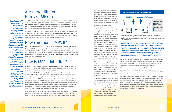## Are there different forms of MPS II?

MPS II has historically been divided into two broad groups (severe and mild) according to the severity of the symptoms. It is now viewed as a continuous spectrum of disease with the most severely affected (or "rapidly progressing") individuals on one end, the less severely affected (attenuated, or "slowly progressing") individuals on the other end, and a whole range of different severities in between.

All individuals with MPS II lack the same enzyme, and currently there is no reliable way of telling from biochemical tests how severe the disease will be. Detailed studies have shown that in individuals with attenuated MPS II, a very small amount of active enzyme is working as designed resulting in the attenuated form of MPS II.

## How common is MPS II?

It has been estimated that about 0.6-1.3 in 100,000 male births are affected by MPS II. Although MPS II is individually rare, the incidence of all MPS diseases combined is 1 in 25,000 births and the larger family of lysosomal storage diseases collectively occur in about 1 in every 5,000 to 7,000 births. Even though these diseases are rare, each patient needs such extensive medical care that the effect on the medical system is much larger than their numbers suggest.

## How is MPS II inherited?

MPS II is a genetic disease; however, it has a different form of inheritance from all the other MPS diseases—it is X-linked recessive. Girls may be carriers of the disease but except in very rare cases, only boys will be affected.

To understand this better, it is important to understand some basic concepts about genetics. DNA, or deoxyribonucleic acid, is the hereditary material in humans; nearly every cell in a person's body has the same DNA. Most DNA is located in the cell nucleus, but a small amount of DNA can also be found in the mitochondria. A gene mutation is a permanent change in the DNA sequence that makes up a gene. A gene is the basic physical and functional unit of heredity and genes act as instructions to make molecules called proteins. All humans are formed with two complete sets of genes - one set from each parent. So every individual has half his genes from his mother and half from his father. Enzymes are made from the instructions found in the genes.

A chromosome is an organized structure of DNA and protein found in cells. Most cells in the human body have 46 chromosomes: 23 from the mother and 23 from the father. X and Y chromosomes determine whether a baby will be a female or male. Females

have two X chromosomes (one from the mother and the other from the father). Males have an X chromosome (from the mother) and a Y chromosome (from the father). The reason MPS II is called an X-linked disorder is that the gene needed to make 12S is found on the X chromosome.

Females who have one "MPS II" X chromosome (non-functioning) and one unaffected X chromosome (functioning) generally have enough enzyme to stay healthy because the unaffected X chromosome contains the gene needed to make enzyme. Although the body may only produce about 50 percent of the normal level of enzyme, this is often enough to keep the person healthy. This is why MPS II is very rare in females, although some cases have been reported. Females with one "MPS II" X chromosome are called "carriers," since they may pass this non-functioning chromosome on to their children. Males have an X chromosome and a Y chromosome; however, the

Y chromosome does not have the full set of genes found on the X chromosome. In MPS II, since the change in the gene is on the X chromosome, there is no alternate copy of the gene on the Y chromosome, so the disease is seen almost always in males. Males who have one "MPS II" X chromosome lack the gene to make enough enzyme to prevent symptoms of the disease.

If a woman is a carrier for MPS II, there is a 50 percent risk that any of her sons will have the disease. In addition, there is a 50 percent risk that a daughter will be a carrier for the disease. However, it is important to understand that a woman may have a child with MPS II and not be a carrier of the abnormal gene, as it is possible for an X chromosome to be permanently changed spontaneously.





If only one individual in a family has MPS II, DNA testing can confirm the mother's carrier status. If she has the same genetic mutation in the I2S gene as her son with MPS II, then she is a carrier. Analysis of enzyme levels is not a reliable method to determine carrier status.

If the mother has two or more sons with MPS II or if there are additional affected individuals within the family, such as maternal uncles or maternal male cousins, then the mother of a child with MPS II is assumed to be a carrier.

The sisters and maternal aunts of an individual with MPS II may be carriers of the disease and would also have a 50 percent chance of passing the non-functioning gene to a son. If the genetic mutation of the boy with MPS II is known, DNA testing can then determine the carrier status of other female relatives on the mother's side of the family. It is important for all female relatives on the mother's side to seek advice from their genetic doctor before planning to have children.

*Individuals with a severe form of MPS II have progressive developmental delay and more severe and progressive physical problems. Individuals with attenuated MPS II can have normal intelligence, milder and less progressive physical problems, and can live into adult life. Many individuals with MPS II have normal or near normal intelligence with severe physical symptoms, confirming that MPS II is a highly variable disease.* 

*MPS II is a genetic recessive disease. All families of affected individuals should seek further information from their medical/genetics doctor or from a genetic counsellor if they have questions about the risk for recurrence of the disease in their family or other questions related to inheritance of MPS diseases.* 

#### **HOW HUNTER SYNDROME IS PASSED ON**



*Hunter syndrome (MPS II) shows X-linked inheritance. On average, a carrier mother will pass on the abnormal 12S gene to 50% of her sons and 50% of her daughters. A father with Hunter syndrome will pass on the abnormal 12S gene to all of his daughters and none of his sons.*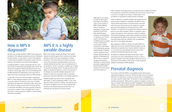How is MPS II diagnosed?

Doctors may consider testing for MPS II when signs and symptoms of the disease are present and are not explained by other causes. In many cases, a doctor with expertise in LSDs may put together the laboratory results with the features in the patient to provide the final diagnosis.

To diagnose MPS II, a doctor will typically first do a urine test to look for GAG levels that are higher than normal. The results are compared to GAG levels that are known to be normal for various ages. Most, but not all, individuals with an MPS disorder have GAG levels in their urine that are higher than those of individuals without an MPS disorder.

A urine test is only one of the first steps in diagnosing MPS II; a clear diagnosis requires a test to measure levels of enzyme activity in the blood or skin cells. In healthy individuals, the tests show white blood cells, serum and skin cells that contain normal levels of enzyme activity. In individuals with MPS II, the enzyme activity levels are much lower or absent. If the urine GAG test is normal but there is a strong suspicion of MPS II, enzyme testing should be considered.

## MPS II is a highly variable disease

MPS II has a highly variable phenotype. Key variable features include the age at which symptoms and signs develop as well as the rate of progression of these symptoms. This means that some children may have many of the symptoms described below and may be severely affected while others may not experience all of the symptoms. There is currently no reliable way of telling how severe the disease will be. The age at which a child begins to develop symptoms is a clue to the severity of the disease, but only after detailed assessment and testing of a child can a physician make an educated guess as to where the child falls on the disease spectrum.

Detailed studies have shown that in individuals with attenuated, or slowly progressing, MPS II, a very small amount of active enzyme is working. This small amount of enzyme will digest some of the accumulating GAG, resulting in the disease being less severe than in an individual who has almost no enzyme activity.

DNA tests do not always provide the information that leads to the determination of the severity of MPS II. Many different kinds of mutations (changes) in the gene that produces the I2S have been identified (point mutations, small deletions or insertions), all of which result in I2S deficiency. The MPS II gene is located on the X chromosome and has been studied extensively to see if there is any relationship between specific genetic mutations and the symptoms of the disease. Approximately 20 percent of individuals with MPS II have a mutation of the gene that results in absolutely no enzyme being produced, suggesting that the individual's condition is likely to be at the severe end of the spectrum.

Other mutations of the gene cause very small amounts of defective enzyme to be produced, and still other mutations are not common at all and may only occur in a single known family. In these cases, it can be difficult or impossible to predict severity of disease.

There is therefore no perfectly reliable way to determine the exact course of disease for individuals with MPS II. Even with the same small amount of enzyme activity, and even within the same family, there can be variations in severity that cannot be explained by the enzyme level or DNA mutation. It is important to remember that whatever name is given to your child's condition, MPS II is a spectrum with a variety of symptoms, and is extremely varied in its effects. This booklet addresses a wide range of possible symptoms that individuals with MPS II may encounter; however, parents should be aware that their child(ren) may not experience them all or to the degree described.

Early diagnosis of MPS II is critical. The earlier MPS II is diagnosed, the sooner potential treatment options can be explored and supportive care may be started to help you or your loved one, and potentially prevent some of the permanent damage the disease may cause.

All relatives of affected individuals should seek further information from their medical/genetics doctor or from a genetic counsellor if they have questions about the risk for recurrence of the disease in their family, or other questions related to inheritance of MPS diseases.

## Prenatal diagnosis

If you have a child with MPS II, it is possible to have tests during a subsequent pregnancy to find out whether the baby you are carrying is affected. It is important to consult your doctor early in the pregnancy if you wish to perform these tests. The decision to have prenatal testing is complex and personal. Talking with your genetic counsellor or doctor can help you explore these options and other strategies for having additional children, such as egg or sperm donation, while limiting the probability that they will have or be carriers for MPS II.



*Ryan*

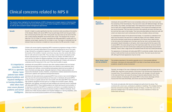## Clinical concerns related to MPS II

The section below highlights the clinical features of MPS II disease and is largely based on historical data from patients. It does not take into account the impact of the recent emergence of treatments for MPS II, as well as other symptom-based management approaches.

**Growth** Growth in height is usually significantly less than normal but varies according to the severity of the disease. Babies with severe MPS II may be quite large at birth and may grow faster than normal during the first year of life. Their growth may slow down by the end of the first year, usually stopping altogether around three years of age. The individual may not grow taller than 122 cm (4 feet). In contrast, individuals with attenuated MPS II usually grow to a relatively normal height, reaching 152 cm (5 feet) or more. The height of individuals who fall between these two extremes is variable but many are below the fifth percentile in height.

**Intelligence** Children with severe (rapidly progressing) MPS II experience progressive storage of GAG in the brain that is primarily responsible for the slowing of development by two to four years of age, followed by a progressive regression in skills until death. There is great variation in the severity of the condition, however; some boys may say only a few words while others learn to walk well and to read a little. They can enjoy nursery rhymes and simple puzzles. Parents emphasize that it is important to help infants and children with MPS II learn as much as they can before the disease progresses. Even when children start to lose the skills they have learned, there may still be some surprising abilities left. Children will continue to understand and find enjoyment in life, even if they lose the ability to speak.

Individuals with severe MPS II tend to look remarkably similar due to their short necks and the coarsening of their facial features. They have short noses with flattened bridges, flat faces with chubby, rosy cheeks, and large heads. Their heads tend to be longer than normal from front to back with a bulging forehead (dolicocephalic). Their tongues are enlarged and their lips may be thickened. Their hair tends to be thick; their eyebrows are bushy and there may heir bodies. They have protruding bellies and stand and walk with nt contractures at the hips, shoulders, elbows and knees.

> the abnormal skull shape, it is important to understand more skull form to create the shape of the skull. Babies' skulls are I bones are separated by thin fibrous tissue called sutures. ad and in the back near the hair whorl, are the anterior (front) les or soft spots, which close during the first few years of life. along the top of the head fuses earlier than normal so that the nt and the back creating the long head shape and prominent ge across the forehead where the skull has closed prematurely.

Is with attenuated MPS II is extremely variable. Adults are often iks are shorter than their limbs. The neck may be short and earance may be normal.

his section generally occur in more severely affected attenuated MPS II are likely to have fewer and less severe involvement.

Individuals with severe MPS II commonly have other medical problems that can hamper their learning and performance, including chronic ear infections, poor peripheral vision, poor hearing, joint stiffness, communicating hydrocephalus (abnormal accumulation of fluid in the brain) and sleep apnea. Adequate treatment of these medical problems can improve the individuals' function; therefore, comprehensive medical assessments should be performed in patients with significant developmental decline.

Runny nose Typically, the bridge of the nose is flattened and the passage behind the nose may be bor growth of the bones in the mid-face and thickening of the ation of abnormal bones, with storage in the soft tissues cause the airway to become easily blocked. One of the als with severe MPS II is the chronic discharge of thick orrhea), and chronic ear and sinus infections.

> contributes to problems in breathing. The windpipe (trachea) ge material and may be floppy, or softer than usual, due to ne trachea. Nodules or excess undulations of tissue can

Individuals with attenuated (slowly progressing) MPS II have normal or near normal intelligence. They may have the same physical features as those seen in individuals with severe MPS II, but they worsen at a greatly reduced rate. Some adults with attenuated MPS II have achieved high academic standards and have gone on to college and successful careers. Hearing impairment, joint stiffness, and airway and heart problems are commonly found in individuals with attenuated MPS II. These medical problems can hinder learning and communication. It is important to remember that MPS II is a spectrum and there is no correlation between the severity of the disease and the mental and physical condition of different individuals. Some patients have milder physical problems and impaired intelligence or learning disabilities, while others have more severe physical problems and normal intelligence.

#### **Physical appearance**

|                                         | be more hair than usual on their bodies. They have protruding bellies and stand and t<br>a bent-over stance due to joint contractures at the hips, shoulders, elbows and knee                                                                                                                                                                                                                                                                                                                                                                                                                                                                                                                                                                  |
|-----------------------------------------|------------------------------------------------------------------------------------------------------------------------------------------------------------------------------------------------------------------------------------------------------------------------------------------------------------------------------------------------------------------------------------------------------------------------------------------------------------------------------------------------------------------------------------------------------------------------------------------------------------------------------------------------------------------------------------------------------------------------------------------------|
|                                         | To understand the reason for the abnormal skull shape, it is important to understand<br>about how the bones of the skull form to create the shape of the skull. Babies' skulls<br>soft and the individual cranial bones are separated by thin fibrous tissue called suture<br>In the front above the forehead and in the back near the hair whorl, are the anterior (fi<br>and posterior (back) fontanelles or soft spots, which close during the first few years of<br>In severe MPS II, the suture along the top of the head fuses earlier than normal so that<br>skull expands more in the front and the back creating the long head shape and prom<br>forehead. There is often a ridge across the forehead where the skull has closed prem |
|                                         | The appearance of individuals with attenuated MPS II is extremely variable. Adults<br>stocky in build and their trunks are shorter than their limbs. The neck may be short<br>stiff, although the facial appearance may be normal.                                                                                                                                                                                                                                                                                                                                                                                                                                                                                                             |
| Nose, throat, chest<br>and ear problems | The problems described in this section generally occur in more severely affected<br>individuals. Individuals with attenuated MPS II are likely to have fewer and less sev<br>symptoms, except for airway involvement.                                                                                                                                                                                                                                                                                                                                                                                                                                                                                                                          |
| <b>Runny nose</b>                       | Typically, the bridge of the nose is flattened and the passage behind the nose ma<br>smaller than usual due to poor growth of the bones in the mid-face and thickenin<br>mucosal lining. This combination of abnormal bones, with storage in the soft tisse<br>in the nose and throat, can cause the airway to become easily blocked. One of the<br>common features of individuals with severe MPS II is the chronic discharge of thi<br>mucous from the nose (rhinorrhea), and chronic ear and sinus infections.                                                                                                                                                                                                                              |
| <b>Throat</b>                           | The tonsils and adenoids often become enlarged and partly block the airway. That,<br>combined with a short neck, contributes to problems in breathing. The windpipe (tr<br>becomes narrowed by storage material and may be floppy, or softer than usual, du<br>abnormal cartilage rings in the trachea. Nodules or excess undulations of tissue ca<br>further block the airway.                                                                                                                                                                                                                                                                                                                                                                |

It is important to remember that MPS II is a spectrum disease. Some patients have milder physical problems and impaired intelligence or learning disabilities, while others have more severe physical problems and normal intelligence.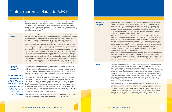#### **Treatment of respiratory infections**

Medication often affects individuals with MPS II differently, so it is essential to consult your doctor rather than using over-the-counter products. Medications for controlling mucous production may not help. Medications such as antihistamines may dry out the mucous, making it thicker and harder to dislodge. Decongestants usually contain stimulants that can raise blood pressure and narrow blood vessels, both undesirable for individuals with MPS. Cough suppressants or medications that are too sedating may cause more problems with sleep apnea by depressing muscle tone and respiration.

Although most normal individuals with colds do not require antibiotics, individuals with MPS II almost always end up with secondary bacterial infections of the sinuses or middle ear. These infections should be treated with antibiotics. Poor drainage of the sinuses and middle ear make overcoming infections difficult. Therefore, it is common to have infections improve on antibiotics and then promptly recur after the antibiotic course is over. Chronic antibiotic therapy may be used to help some individuals with recurring ear infections. Ventilation tubes can be used to improve drainage from the ear and speed resolution of infections. It is important to consult with an ear, nose and throat (ENT) specialist experienced with MPS diseases to determine which tube is best.

**Mouth** Individuals with MPS II generally have thick lips and an enlarged tongue. Gum ridges are broad. The teeth are widely spaced and poorly formed with fragile enamel. It is important that the teeth are well cared for, as tooth decay can be a major cause of pain. Teeth should be cleaned regularly, and if the water in your area has not been treated with fluoride, consult your dentist about giving your child daily fluoride tablets or drops. For severely affected individuals, cleaning inside the mouth with a small sponge on a stick soaked in mouthwash will help keep the mouth fresh and help avoid bad breath. Even with the best dental care, an abscess around a tooth can develop due to abnormal formation of the tooth. Irritability, crying and restlessness can sometimes be the only sign of an infected tooth in a severely involved individual.

Many individuals with MPS II become allergic to antibiotics or may acquire resistant infections. Your doctor can prescribe other antibiotics to help manage this problem. While overusing antibiotics is not advised, most individuals with MPS will require some type of treatment for most infections. You will need a doctor with whom you can develop a good working relationship to manage the frequent infections.

Chest The shape of the chest is frequently abnormal and the junction between the ribs and the breastbone (sternum) is not as flexible as it should be. The chest is therefore rigid and cannot move freely to allow the lungs to take in a large volume of air. The muscle at the base of the chest (diaphragm) is pushed upward by the enlarged liver and spleen, further reducing the space for the lungs. When the lungs are not fully cleared, there is an increased risk of infection (pneumonia).

**Breathing** difficulties

> Since individuals with MPS generally have heart problems, it may be advised by the individual's cardiologist that antibiotics be given before and after any dental treatment. This is because certain bacteria in the mouth may get into the bloodstream and cause an infection in the abnormal heart valve, potentially damaging it further. If teeth need to be removed while under an anesthetic, it should be done in a hospital that has experience working with patients affected with MPS disorders, and under the care of both an experienced anesthetist and a dentist, never in the dentist's office.

Chest postural drainage can be helpful in clearing secretions from the lungs. A physiotherapist will be able to teach parents and someone at the child's school how to do this.

## Clinical concerns related to MPS II

Many individuals with MPS II have frequent coughs, colds and throat infections. Individuals with MPS II who have narrowing of the large airways and increased secretions are at risk for asthma-like episodes. Many individuals are helped (decreased cough and easier breathing) by treatment with asthma medications during viral illness. A lung specialist can help determine if asthma-like episodes are occurring in individuals with MPS II during illnesses.

Many affected individuals breathe very noisily even when there is no infection. At night they may be restless and snore. Sometimes the individual may stop breathing for short periods while asleep (sleep apnea). Pauses of up to 10 to 15 seconds may be considered normal. This noisy breathing, which stops and starts, can be very frightening for parents to hear and may mean that the child's oxygen level may be low when sleeping, which can damage the heart over time. If a parent notices significant choking or episodes of interrupted breathing, the child should be evaluated by a sleep specialist using a polysomnogram (sleep study). It is important to know that many individuals may breathe like this for years. Sleep apnea can be treated in some individuals by removing the tonsils and adenoids (adenoids may re-grow), opening up the airway with nighttime continuous positive airway pressure (CPAP), bi-level positive airway pressure (BiPAP) or tracheotomy, as discussed in the following paragraphs.

**Management of breathing problems** 

As mentioned, affected children children may be admitted to the hospital overnight for a sleep study. Monitors are placed on the skin and connected to a computer to measure the levels of oxygen in the blood, breathing effort, brain waves during sleep and other monitors of the body's function. From this study, doctors can assess how much blockage to breathing is present, how much trouble the child is having moving air into the lungs during sleep, and the effect this is having on his body.

CPAP or BiPAP can open up the airway at night using air pressure. A mask is placed on the face each night and air is pumped into the airway to keep it from collapsing. This may seem to be an extreme measure, but many individuals are able to tolerate it; it can greatly improve the quality of sleep, and help prevent or reduce the risk of heart failure caused by night time low oxygen levels. In severe cases of sleep apnea with heart failure, a tracheotomy (a hole in the airway made in the front of the neck) may be needed. Most families will try to avoid a tracheotomy because it is invasive and disruptive; however, many doctors feel that individuals with MPS II would benefit from receiving a tracheotomy earlier to improve their nighttime breathing and overall health.

*Drugs often affect individuals with MPS II differently, so it is essential to consult your doctor rather than using over-the-counter medications.*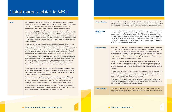## Clinical concerns related to MPS II

Heart **Heart disease is common in all individuals with MPS II, severe to attenuated; however,** heart disease may not develop or cause any real problems until later in the individual's life. Medications are available to help manage the heart problems that occur in MPS II. Cardiomyopathy (weak heart muscle) and endocardiofibroelastosis (stiff heart) are conditions that can occur in young individuals with severe MPS II. Coronary artery disease caused by GAG storage in the heart blood vessels is like that seen in older adults and can lead to death. Some individuals with attenuated MPS II may develop problems with the aortic or mitral valves; they may have slowly progressive valvular heart disease for years without any apparent clinical effects. As the condition worsens, medications can be used to lessen the effect on the heart. However, an operation may be required to replace the damaged valves.

> Your doctor may hear heart murmurs (sounds caused by turbulence in blood flow in the heart) if the valves become damaged by stored GAG. Heart valves are designed to close tightly as blood passes from one chamber of the heart to another in order to stop blood from flowing back in the wrong direction. If a valve is weakened, it may not shut firmly enough and a small amount of blood may shoot backward, leading to turbulence and a murmur. Most individuals with MPS II have some degree of heart valve leakage or blockage.

Since heart problems occur so frequently in MPS II, all individuals with MPS II should have an echocardiogram (ECHO) annually (or as often as your doctor thinks necessary) to show whether any problems are beginning. The test is painless and similar to the ultrasound screening of babies in the womb. It can identify problems with the heart muscle, heart function and heart valves, but like many tests it cannot detect all possible problems, especially coronary artery disease.

In individuals who are severely affected, the muscle of the heart may be damaged by the storage of GAG (cardiomyopathy) and the heart also may be put under strain by having to pump blood through abnormal lungs (cor pulmonale or right heart failure). A number of affected individuals have high blood pressure.

Occasionally the coronary arteries of individuals with moderate to severe MPS II may become narrowed and cause episodes of chest pain (angina). If your child is distressed and crying and is at the same time pale and sweating while keeping still, you should consult your doctor who may refer your child for an electrocardiogram (ECG or EKG).

Because of the unusual problems that can occur in these diseases, you should select a cardiologist with some knowledge of MPS II. At a minimum, you should inform the doctor about the heart problems experienced by individuals with MPS II.

| <b>Liver and spleen</b> | In most individuals with MPS II, bot<br>GAG (hepatosplenomegaly). The er<br>to liver failure, but it can interfere w                                                                                                                                                                                                                                                                                                                                                                                                                                                                                                                                                                                                                    |
|-------------------------|-----------------------------------------------------------------------------------------------------------------------------------------------------------------------------------------------------------------------------------------------------------------------------------------------------------------------------------------------------------------------------------------------------------------------------------------------------------------------------------------------------------------------------------------------------------------------------------------------------------------------------------------------------------------------------------------------------------------------------------------|
| Abdomen and<br>hernias  | In most individuals with MPS II, the<br>muscles, and the enlarged liver and<br>push out behind a weak spot in the<br>can come from behind the navel (u<br>hernias should be repaired by an o<br>hernias are not usually treated unle<br>or are very large and are causing p                                                                                                                                                                                                                                                                                                                                                                                                                                                             |
| <b>Bowel problems</b>   | Many individuals with MPS II suffer<br>this is not fully understood. Occasion<br>leakage of loose stools from behind<br>describe it as "coming straight thro<br>nervous system, the system that co<br>control. Studies have found storage<br>abnormal motility in the bowel is the<br>An examination by your pediatricia<br>establish the cause of diarrhea. Th<br>can be made worse by antibiotics<br>some individuals with MPS II appe<br>be helpful.<br>If antibiotics are the cause, treatment<br>the bacterial make-up in the intesti<br>prevent the growth of harmful orga<br>make it worse. A diet low in rougha<br>Constipation may become a proble<br>muscles weaken. If an increase in<br>doctor may prescribe laxatives or a |
| <b>Bones and joints</b> | Individuals with MPS II tend to hav<br>This leads to bone problems (called<br>if nerves are compressed by bone.                                                                                                                                                                                                                                                                                                                                                                                                                                                                                                                                                                                                                         |

both the liver and spleen become enlarged by storage of e enlarged liver does not usually cause liver problems or lead e with eating and breathing and the proper fitting of clothes.

the abdomen bulges out due to posture, weakness of the and spleen. Frequently part of the abdominal contents will the wall of the abdomen. This is called a hernia. A hernia el (umbilical hernia) or in the groin (inguinal hernia). Inguinal an operation, but hernias will sometimes recur. Umbilical unless they are small and cause entrapment of the intestine og problems.

ffer periodically from loose stools and diarrhea. The cause of asionally, the problem is caused by severe constipation and hind the solid mass of feces. More often, however, parents hrough." It is thought there may be a defect in the autonomic controls those bodily functions usually beyond voluntary age in the nerve cells of the intestine and it seems likely that the cause of diarrhea.

ician, who may use an additional test like an x-ray, may The problem may disappear as the child gets older, but it ics prescribed for other problems. The episodic diarrhea in opears to be affected by diet; elimination of some foods can

If the the cause may involve eating plain live-culture yogurt to change estines. This provides a source of lactobacillus to help rganisms within the bowel, which can cause diarrhea or ghage also may be helpful.

oblem as the child gets older and less active and as the in roughage in the diet does not help or is not possible, the or a disposable enema.

have significant problems with bone formation and growth. alled dysostosis multiplex) as well as neurological problems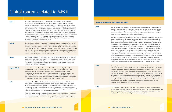#### **Neurological problems: brain, senses and nerves**

**Brain The decline in developmental function in individuals with severe MPS II may be related to** storage in the neurons of the brain. Other aspects of MPS II that can affect brain function include inadequate oxygen levels, sleep deprivation due to sleep apnea, increased fluid pressure in and around the brain (hydrocephalus), and effects on the eyes and ears that affect the ability of the individual to see and hear normally.

> The brain and spinal cord are protected from jolting by the cerebrospinal fluid that circulates around them. In some individuals with severe MPS II, circulation of the fluid can slowly (over months to years) become blocked. The blockage causes increased pressure inside the head (communicating hydrocephalus), which can press on the brain and cause headaches, incontinence, delayed development, expansion of the skull and ultimately blindness. If hydrocephalus is suspected, an imaging study of the brain (CT or MRI scan) should be performed. A lumbar puncture with pressure measurement (ideally pressure monitoring) is another way to assess if hydrocephalus exists. If a doctor confirms an individual has communicating hydrocephalus, it can be treated by the insertion of a thin tube (shunt), which drains fluid from the brain into the abdomen (ventriculoperitoneal or VP shunt). The shunt has a pressure-sensitive valve, which allows spinal fluid to be drained to the abdomen when the pressure around the brain becomes too high. The lack of papilledema (swelling around the optic disk) or normal-sized ventricles does not rule out hydrocephalus in a child with MPS II. Communicating hydrocephalus is more likely to occur in a child with severe MPS II.

**Ears Ears** Some degree of deafness is common in MPS II. It may be conductive, or nerve deafness, or both (mixed deafness) and may be made worse by frequent ear infections. It is important that individuals with MPS II have their hearing monitored regularly so problems can be treated early to maximize their ability to learn and communicate.

**Eyes** Clouding of the cornea, which is <sup>a</sup> feature of some of the other MPS diseases, is not found in individuals with MPS II. Occasionally there may be problems with vision caused by changes to the retina or glaucoma (increased pressure) which should be checked during an eye examination. Storage in the retina can result in loss of peripheral vision and night blindness. Night blindness can result in a child not wanting to walk in the dark or waking up at night and being afraid. Sometimes the simple addition of a night light in a hall or bedroom is very beneficial. It is often difficult to determine which combination of problems is responsible for the decrease in eyesight. An ophthalmologist can perform special studies to help determine whether the problem is due to an effect on how light gets in the eye (the cornea) or on how the eye responds to light (the retina or optic nerve disease).

## Clinical concerns related to MPS II

| <b>Spine</b><br>The bones of the spine (vertebrae) normally line up from the neck to the buttocks.<br>Individuals with severe MPS II often have poorly formed vertebrae that may not stably<br>support each other. One or two of the vertebrae in the middle of the back are sometimes<br>slightly smaller than the rest and set back in line. This backward slippage of the vertebrae<br>can cause an angular curve (kyphosis or gibbus) to develop, but it usually does not require<br>treatment. In older children and adults with MPS II, spinal cord compression is common.<br>The compression is due to accumulation of GAG in the membrane surrounding the spinal<br>cord. Doctors will want to monitor this carefully and arrange surgical treatment if necessary.<br>Parents of children with MPS II should be cautious when handling the area of the spine<br>around the neck. Children with MPS II should avoid high risk activities such as contact<br>sports and gymnastics, including trampolines.<br><b>Joints</b><br>Joint stiffness is common in MPS II and the maximum range of movement of all joints may<br>become limited. Later in the individual's life joint stiffness may cause pain, which may be<br>relieved by heat and ordinary painkillers. Limited movement in the shoulders and arms may<br>make dressing and grooming difficult. Anti-inflammatory drugs, such as ibuprofen, can help<br>with joint pain, but their use should be monitored closely to make sure irritation and ulcers<br>in the stomach do not occur. Hips often are not as flexible as normal, resulting in pain when<br>walking. Dislocated hips can be managed surgically.<br><b>Hands</b><br>The shape of the hands in children with MPS II is very noticeable. The hands are short and<br>broad with stubby fingers. The fingers stiffen and gradually become curved due to limited<br>joint movement. The tips of the fingers can become permanently bent over. Finger joints<br>may become locked, called trigger finger. Trigger fingers may be resolved with heat and<br>massage or by surgery, if necessary.<br><b>Legs and feet</b><br>Many individuals with MPS II stand and walk with their knees and hips flexed. This,<br>combined with a tight Achilles tendon, may cause them to walk on their toes. They<br>sometimes have knock-knees but this is very unlikely to need treatment. Severe<br>knock-knees can be treated by surgery on the tibia bones. The feet are broad and may<br>be stiff with the toes curled under, rather like the hands. Lack of flexibility in the hips and<br>legs often prevents individuals from sitting cross-legged (the seating position of choice for<br>most kindergarten teachers) or putting on their own socks and shoes.<br><b>Skin</b><br>Individuals with MPS II tend to have thickened and tough skin, making it difficult to draw<br>blood or place intravenous catheters. Excess hair on the face and back occurs in some<br>individuals with MPS II. Sweating and cold hands and feet also are common problems, and<br>are possibly related to the heart, circulation or other mechanisms that control temperature<br>regulation. Periodic blue or cold hands or feet should be evaluated by a cardiologist to see if<br>the heart or the aorta might be responsible for the problem.<br>Some boys with MPS II have a characteristic white, nodular, pebble-like texture to their skin. This<br>may occur on the back and shoulders and, in some boys, may extend to their arms and lower<br>trunk. This is not a medical concern and is thought to be caused by storage of GAG in the skin. |  |
|--------------------------------------------------------------------------------------------------------------------------------------------------------------------------------------------------------------------------------------------------------------------------------------------------------------------------------------------------------------------------------------------------------------------------------------------------------------------------------------------------------------------------------------------------------------------------------------------------------------------------------------------------------------------------------------------------------------------------------------------------------------------------------------------------------------------------------------------------------------------------------------------------------------------------------------------------------------------------------------------------------------------------------------------------------------------------------------------------------------------------------------------------------------------------------------------------------------------------------------------------------------------------------------------------------------------------------------------------------------------------------------------------------------------------------------------------------------------------------------------------------------------------------------------------------------------------------------------------------------------------------------------------------------------------------------------------------------------------------------------------------------------------------------------------------------------------------------------------------------------------------------------------------------------------------------------------------------------------------------------------------------------------------------------------------------------------------------------------------------------------------------------------------------------------------------------------------------------------------------------------------------------------------------------------------------------------------------------------------------------------------------------------------------------------------------------------------------------------------------------------------------------------------------------------------------------------------------------------------------------------------------------------------------------------------------------------------------------------------------------------------------------------------------------------------------------------------------------------------------------------------------------------------------------------------------------------------------------------------------------------------------------------------------------------------------------------------------------------------------------------------------------------------------------------------------------------------------------------------------------------------------------------------------------------------------------------------------------------------------------------------------------------------------------------------------------------------------------------------------------------------------------------------------------------------------------------------------------------------------------------------------------------------------|--|
|                                                                                                                                                                                                                                                                                                                                                                                                                                                                                                                                                                                                                                                                                                                                                                                                                                                                                                                                                                                                                                                                                                                                                                                                                                                                                                                                                                                                                                                                                                                                                                                                                                                                                                                                                                                                                                                                                                                                                                                                                                                                                                                                                                                                                                                                                                                                                                                                                                                                                                                                                                                                                                                                                                                                                                                                                                                                                                                                                                                                                                                                                                                                                                                                                                                                                                                                                                                                                                                                                                                                                                                                                                                              |  |
|                                                                                                                                                                                                                                                                                                                                                                                                                                                                                                                                                                                                                                                                                                                                                                                                                                                                                                                                                                                                                                                                                                                                                                                                                                                                                                                                                                                                                                                                                                                                                                                                                                                                                                                                                                                                                                                                                                                                                                                                                                                                                                                                                                                                                                                                                                                                                                                                                                                                                                                                                                                                                                                                                                                                                                                                                                                                                                                                                                                                                                                                                                                                                                                                                                                                                                                                                                                                                                                                                                                                                                                                                                                              |  |
|                                                                                                                                                                                                                                                                                                                                                                                                                                                                                                                                                                                                                                                                                                                                                                                                                                                                                                                                                                                                                                                                                                                                                                                                                                                                                                                                                                                                                                                                                                                                                                                                                                                                                                                                                                                                                                                                                                                                                                                                                                                                                                                                                                                                                                                                                                                                                                                                                                                                                                                                                                                                                                                                                                                                                                                                                                                                                                                                                                                                                                                                                                                                                                                                                                                                                                                                                                                                                                                                                                                                                                                                                                                              |  |
|                                                                                                                                                                                                                                                                                                                                                                                                                                                                                                                                                                                                                                                                                                                                                                                                                                                                                                                                                                                                                                                                                                                                                                                                                                                                                                                                                                                                                                                                                                                                                                                                                                                                                                                                                                                                                                                                                                                                                                                                                                                                                                                                                                                                                                                                                                                                                                                                                                                                                                                                                                                                                                                                                                                                                                                                                                                                                                                                                                                                                                                                                                                                                                                                                                                                                                                                                                                                                                                                                                                                                                                                                                                              |  |
|                                                                                                                                                                                                                                                                                                                                                                                                                                                                                                                                                                                                                                                                                                                                                                                                                                                                                                                                                                                                                                                                                                                                                                                                                                                                                                                                                                                                                                                                                                                                                                                                                                                                                                                                                                                                                                                                                                                                                                                                                                                                                                                                                                                                                                                                                                                                                                                                                                                                                                                                                                                                                                                                                                                                                                                                                                                                                                                                                                                                                                                                                                                                                                                                                                                                                                                                                                                                                                                                                                                                                                                                                                                              |  |
|                                                                                                                                                                                                                                                                                                                                                                                                                                                                                                                                                                                                                                                                                                                                                                                                                                                                                                                                                                                                                                                                                                                                                                                                                                                                                                                                                                                                                                                                                                                                                                                                                                                                                                                                                                                                                                                                                                                                                                                                                                                                                                                                                                                                                                                                                                                                                                                                                                                                                                                                                                                                                                                                                                                                                                                                                                                                                                                                                                                                                                                                                                                                                                                                                                                                                                                                                                                                                                                                                                                                                                                                                                                              |  |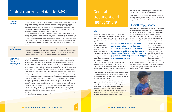## Clinical concerns related to MPS II

#### **Conductive**

**deafness Correct functioning of the middle ear depends on the pressure behind the eardrum being the deafness** same as that in the outer ear canal and the atmosphere. This pressure is equalized by the Eustachian tube, which runs to the middle ear from the back of the throat. If the tube is blocked, the pressure behind the eardrum will drop and the drum will be drawn in. If this negative pressure persists, fluid from the lining of the middle ear will build up and in time become thick like glue. This is called middle ear effusion.

**(nerve) deafness** In most cases, the cause of nerve deafness is damage to the tiny hair cells in the inner ear.<br> **(nerve)** deafness **In the inner ear.** It may accompany conductive deafness, in which case it is referred to as mixed deafness. Nerve or conductive deafness can be managed by the fitting of a hearing aid or aids in most individuals. Hearing aids are generally underutilized in MPS diseases.

If it is possible for the child to have a light general anesthetic, a small incision through the eardrum can be made (myringotomy) to remove the fluid by suction. A small ventilation tube may then be inserted to keep the hole open and allow air to enter from the outer ear canal until the Eustachian tube starts to work properly again. The tubes placed in the eardrum may quickly fall out. If this happens, the surgeon may decide to use T-tubes, which usually stay in place much longer. Once the ventilation tube is in place, fluid should drain out and hearing should improve.

#### **Sensorineural**

#### **Carpal tunnel syndrome and other nerve entrapments or compression**

Individuals with MPS II sometimes experience pain and loss of feeling in the fingertips caused by carpal tunnel syndrome. The wrist, or carpus, consists of eight small bones known as the carpals, which are joined by fibrous bands called ligaments. Nerves have to pass through the wrists in the space between the carpal bones and the ligaments. Thickening of the ligaments causes pressure on the nerves, which can cause irreversible nerve damage. The nerve damage will cause the muscle at the base of the thumb to waste away and will make it difficult for a child to oppose his thumb in a position for a normal grasp. Although your child may not complain of pain, the carpal tunnel syndrome may be severe. If your child seems to have pain or numbness in the hands, particularly at night, an electrical test called a nerve conduction or electromyograph study should be performed, which will show whether carpal tunnel syndrome is the cause, or if there is a problem with nerve conduction in the neck or spine. If your child has any weakness at all in the hand or has decreased muscle mass at the base of the thumb, ask for the test from your neurologist. Be persistent, as many physicians may not believe carpal tunnel syndrome is present without the classic symptoms. Most individuals affected by MPS do not have the classic symptoms of carpal tunnel syndrome, even with severe nerve entrapment and damage. Uncorrected carpal tunnel syndrome may result in the loss of sensation in the hands and fingers. Carpal tunnel syndrome can be corrected through surgery; however, it may return in the future requiring additional surgeries.

A similar type of nerve compression can happen elsewhere in the body, such as the feet, and cause localized weakness or pain.

## General treatment and management

#### Diet

There is no scientific evidence that a particular diet has any helpful effect on individuals with MPS II, and symptoms such as diarrhea tend to come and go naturally. Some parents, however, find that a change in their child's diet can ease problems

such as excessive mucous, diarrhea or hyperactivity. Reducing intake of milk, dairy products and sugar, as well as avoiding foods with too many additives and colouring, have helped some individuals. Consult your doctor or a dietician

if you plan major dietary changes to make sure the proposed diet does not leave out essential items. If your child's problems are eased, you could try reintroducing foods one at a time to test whether any particular item seems to increase the child's symptoms.

It is important to note there is no diet that can prevent the storage of GAG because they are actually created by the body. Reducing sugar intake or other dietary components cannot reduce GAG storage.

Swallowing may become difficult as an individual with MPS II gets older and the disease progresses. If this occurs, the individual may choke or aspirate food or liquids into the lungs, which can result in recurrent pneumonia. During this time the individual may lose weight and require more and more time to be fed. It is often difficult for a family to consider alternate means of feeding, such as a gastrostomy tube (G-tube);

consultation with your medical geneticist and pediatric surgeon can help with your decision making.

Choking also can occur with liquids, including secretions made by the body such as saliva. As swallowing becomes more difficult, the individual may begin drooling and may need to be suctioned.

## Physiotherapy/sports

Joint stiffness is a common feature of MPS II. Limitation of movement and joint stiffness can cause significant loss of function. Range-of-motion exercises (passive stretching and bending of the limbs) may offer some benefits in preserving joint function, and should be started early although exercises that cause pain should be avoided. Once there is significant limitation of movement, it may

not be possible to increase range-of-motion, but it may be possible to minimize further limitation. Individuals with MPS II should be as active as possible to maintain joint function and improve their general health; however, contact sports should be avoided. Your child's

doctor, a physiotherapist, or a recreation therapist may be able to suggest ways of achieving optimal fitness through a combination of daily activities, adapted sports and passive range-of-motion exercises.



*Individuals with MPS I should be as active as possible to maintain joint function and improve general health; however, competitive or contact sports should be avoided. Your child's doctor or physical therapist may be able to suggest ways of achieving this.*

*Trey*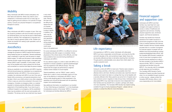#### **Mobility**

Many individuals with MPS II remain ambulatory into their teens and adult life. Others may need to use a wheelchair or motorized scooter from an early age, at least for getting around outdoors or for periods of longer activity. Consult your physical therapist or occupational therapist for advice.

#### Pain

Many individuals with MPS II complain of pain. Pain may be caused by problems with bone formation and growth as mentioned above, but may also be due to inflammation (similar to arthritis). Pain management is important as it can help to improve general quality of life. Children and adults can benefit from seeing a pain specialist, such as a rheumatologist

#### Anesthetics

Various management options and surgical procedures to manage the symptoms of MPS II require that the person being treated be given an anesthetic. General anesthesia uses a medication or gas that "puts the person to sleep" before surgery. To make sure the person under anesthesia receives enough oxygen during surgery, a laryngeal mask airway (LMA) is used, if possible. In some cases, a LMA may not be possible and a tube is placed into the throat and connected to a machine that helps the person breathe.

Giving an anesthetic to an individual with MPS II requires skill and should always be undertaken by an experienced anesthetist familiar with MPS II. If the cervical spine is unstable, the individual with MPS II is at risk if the neck is flexed while unconscious, and special precautions must be taken. Inform your child's school or any other caregivers of this in case you cannot be contacted in the event of an emergency. Consider an emergency letter or a medical bracelet to indicate potential difficulties with intubation (placement of the breathing tube). If you have to go to a different hospital in an emergency, tell the anesthetist there may be problems with the neck and possibly with intubation. The airway can be very small and may require

Caring for a child with MPS II is hard work. Parents need a break to rest and enjoy activities, which may not be possible when their affected child is with them. Brothers and sisters also need their share of attention and need to be taken on outings that may not be feasible with a severely affected child. Many parents use some form of respite care or have someone come in regularly to help at busy times. Individuals with attenuated MPS II may need help to become more independent from their families and may benefit from a vacation, perhaps with others who have disabilities. The Canadian MPS Society has respite funding available through its Family Assistance Program – please visit our website or contact the office for more information.

a very small endotracheal tube. Placing the tube may be difficult and require the use of a flexible bronchoscope to place it gently. In addition, the neck may be somewhat lax and repositioning the neck during anesthesia or intubation could cause injury to the spinal cord.

For some individuals with MPS II, it is difficult to remove the breathing tube after surgery is completed. Advise physicians of the critical nature of this difficulty, and that many problems have occurred during anesthesia of individuals with MPS II.

For any elective surgery in a child or adult with MPS II, it is important to choose a pediatric or general anesthesiologist who has experience with difficult airways. This may require that the surgery be performed at a regional medical centre instead of a local hospital.

Topical anesthetics, such as "EMLA" cream, used to freeze skin in order to more comfortably insert an IV line, may not be effective in individuals with MPS II. Use of nitrous oxide (laughing gas) for initial anesthesia in the operating room should be discussed with the operating surgeon and anesthesiologist.

See additional information on anesthesia in our booklet "Is Your Child Having an Anesthetic?" or in the Anesthesia Considerations section of the binder "MPS II: A resource for individuals and families affected by MPS II".

Life expectancy

Life expectancy in MPS II is varied. Individuals with attenuated MPS II can have a reasonably normal life span, surviving into the fifth and sixth decades of life, and sometimes longer. Sadly, those who are severely affected are likely to die before reaching their mid-teens. Though parents understandably worry about their child's death, it is usually a peaceful event.

#### Taking a break



*Sebastien and Kobe*

#### Financial support and supportive care

Individuals with MPS II and their families may need help from case managers and support workers to access a variety of healthcare and supportive care services, including physical supportive care, emotional support, and financial assistance.

Families may benefit from financial assistance from health insurance or government programs to help cover the costs of medical treatment and devices. Health Canada's Service Canada website provides links to a number of programs for financial support of people with disabilities (www.servicecanada.gc.ca/eng/ audiences/disabilities/index.shtml). Visit the Canadian MPS Society's website for a list of more links to programs which provide financial assistance (or refer to the lists included in the Society's MPS II resource binder "MPS II: A resource for individuals and families living with MPS II"). You may also wish to investigate private agencies and foundations. The Canadian MPS Society's Family Assistance Program provides financial aid when it is not available through insurance or other sources - please contact the Canadian MPS Society office or visit www.mpssociety.ca for more details.

*Andrew with his brother Brad and parents Nick and Sonia*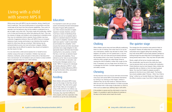#### Education

It is important to work with your school system and develop the best Individualized Education Program (IEP) possible for your child. Inclusive education is legally required in Canada; therefore, schools must have a means of identifying those students who are not completely able to adjust to a standard classroom situation as a result of a disability. Canadian human rights laws specify "a right to reasonable accommodation for a disability" which ensures that schools and other educational authorities have a legal obligation to take appropriate steps to eliminate discrimination resulting from a rule, practice, or barrier that has, or can have, an adverse impact on individuals with disabilities. This is referred to as the "duty to accommodate." For more information on education, see the Education Strategies section of our binder "MPS II: A resource for individuals and families affected by MPS II", which is available to families affected by MPS II through the Society's office, and posted on the Society's website.

When children cannot chew and have difficulty swallowing there is a risk of choking. Even when food is cut up into very small pieces, children may still start to choke. If this happens, act quickly: turn him upside down, or lay him head down over your knee and pound sharply between the shoulders three or four times. Pounding on the back while the child is upright can make things worse by causing the child to breathe in rather than cough out the food. If necessary, put your finger down his throat to try to dislodge the food item. Consider registering for first  $\varepsilon$ and safety courses.

## Feeding

As they become more out of touch with their environme many boys with severe MPS II will entertain themselves by rocking or by chewing on their fingers, clothes or whatever they can lay their hands on. Because there is little one can do to stop this behavior, it is best to provide the individual with a wide range of safe items on which to chew such as rubber toys, teething rings or soft cloths.

Most children with severe MPS II enjoy food, but the range of what they will eat may be limited. They often drink a great deal of fluids. Many do not progress to using a knife and fork or an ordinary cup and eventually need to be fed as if a baby. Eventually, they may find it difficult to chew properly, and food, especially meat, should be cut up into very small pieces.



## **Choking**

If the problem is severe and the child starts to injure his fingers, it is possible to splint the elbows for periods of the day so the hands cannot reach the mouth.

## Chewing

#### The quieter stage

| ιg,<br>S<br>Ć    | The change from the overactive noisy period is likely to<br>be gradual. Parents will realize their son no longer runs<br>everywhere and is happier sitting than standing. Many<br>boys with severe MPS II will be easily pleased, perhaps by<br>looking through the same little book of photographs or by<br>having stories read to them. They may doze off quite often.                                                                                                                                                                                                                                                |
|------------------|-------------------------------------------------------------------------------------------------------------------------------------------------------------------------------------------------------------------------------------------------------------------------------------------------------------------------------------------------------------------------------------------------------------------------------------------------------------------------------------------------------------------------------------------------------------------------------------------------------------------------|
| e<br>aid<br>.nt, | Slowly, weight will be lost as muscles waste away.<br>Very occasionally, near the end of the child's life, there<br>may be seizures which can be controlled with medication.<br>Chest infections may be more frequent. Many children die<br>peacefully after an infection or from the heart's gradual<br>failure. You may find it helpful to prepare yourself in<br>advance for the time of your child's death. The Society<br>has a book available called "Choices - When Your Child is<br>Dying," written by our founder Sheila Lee. Please contact<br>the office to receive a copy if you think it might be helpful. |
|                  |                                                                                                                                                                                                                                                                                                                                                                                                                                                                                                                                                                                                                         |

# Living with a child with severe MPS II

While young, boys with MPS II may be overactive, strong, cheerful and hard to supervise. They have limited powers of concentration and their mental age will be lower than their physical capabilities. They could, for example, lock the bathroom door but be unable to understand how to get out again, even when told. They enjoy rough and tumble play; making a lot of noise and throwing toys rather than playing with them. They may be unaware of danger, and stubborn and unresponsive to discipline since they may not understand what is required. Some children may have outbursts of aggressive behavior. Boys with MPS II have an increased tolerance of pain; bumps and bruises or ear infections that would be painful for other boys often go unnoticed. Toilet training may be achieved briefly by some, but most will remain in diapers. Getting enough sleep may be difficult for parents; they should not hesitate to ask their doctor for help.

It is very hard when a child cannot express him or herself to know whether crying is from pain or frustration. Children may have ear infections, toothache, aches and pains in their joints or feel discomfort from a full stomach. Do not hesitate to ask your doctor to check whether there is a physical reason for your child's distress.



*Nathaniel and his sister Chelsea*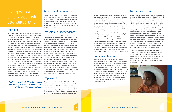# Living with a child or adult with attenuated MPS II

#### **Education**

Many children with attenuated MPS II attend mainstream school and succeed academically. Achieving post-secondary education is highly possible; however, it is important to ensure that the school is aware of the resources required. It is important to work with your school system and develop the best Individualized Education Program (IEP) possible for your child. Inclusive education is legally required in Canada; therefore, schools must have a means of identifying those students who are not completely able to adjust to a standard classroom situation as a result of a disability. Canadian human rights laws specify "a right to reasonable accommodation for a disability" which ensures that schools and other educational authorities have a legal obligation to take appropriate steps to eliminate discrimination resulting from a rule, practice, or barrier that has, or can have, an adverse impact on individuals with disabilities. This is referred to as the "duty to accommodate." For more information on education, see the Education Strategies section of the binder "MPS II: A resource for individuals and families affected by MPS II", which is available to families affected by MPS II through the Society's office, and posted on the Society's website.

### Puberty and reproduction

Adolescents with MPS II will go through normal developments of puberty and are fertile. All daughters born to a father with MPS II are automatically carriers but sons born to a father with MPS II will be only affected if the mother happens to be a carrier. In other words, the fact that the father has MPS II will have no effect on whether or not his son will have MPS II.

### Transition to independence

As those with attenuated MPS II reach their teen years, it is helpful for them to start a gradual transition to advocate for their own medical care. More information on medical transition is available in our binder "MPS II: A resource for individuals and families affected by MPS II". Individuals with MPS II should be encouraged to be as independent as possible so that they can lead full and enjoyable lives. The teenage years may be difficult if those affected have restrictions imposed by their disease, but meeting or contacting other teenagers and adults who also have MPS II may help. If needed, a power wheelchair may be a helpful mode of transportation and provide further independence and an adapted vehicle can help teens and young adults with significant mobility issues achieve independence through driving. Learning to use the bus will also help affected teens and adults get around in their communities. It is a good idea for teens and adults to wear "Medic-Alert" bracelets and carry medical walletcards to ensure medical personnel are aware of any crucial health concerns in the case of an emergency.

#### Employment

Many individuals with attenuated MPS II do well at a variety of different jobs: one was a teacher of the deaf, one was a marine architect and another was an army sergeant. Some advice: Begin your search for the right job by assessing your physical capabilities. It's important to be practical about what you can and cannot do. Instead of using your limitations as a restriction, use them as a

#### Home adaptations

guide to finding the right career. A career counsellor can help you explore a type of work that you might enjoy and that is well suited to your individual strengths and interests. Section 15 of the Canadian Charter of Rights and Freedom guarantees equality rights plus freedom from discrimination for people who have a physical or mental disability. The Employment Equity Act (EEA) of 1995 ensures that persons with disabilities are granted full and equal access to employment and opportunity. An employer must accommodate the disabilities of employees, prospective employees, and clients or customers. More information is available in our binder "MPS II: A resource for individuals and families living with MPS II". Compassionate leave legislation is overseen in Canada at the provincial level. A summary of the elements of the To date, there has been no research carried out exploring the psychosocial development of individuals affected with MPS II, so it is not possible to make definitive statements about this subject. As a parent of a child or young adult with MPS II, it is important to consider how his disability may cause him to experience additional challenges in life. Some children and young adults with MPS II may adapt socially and emotionally by becoming socially inhibited, or by internalizing problems or developing an aggressive, outgoing personality. Adolescence may be more of a challenge as they have to experience all of the physiological and psychosocial changes as well as any disease-related changes or limitations. Developing the necessary skills to lead independent adult lives can be challenging although important to achieving social maturity. Referral for counselling is recommended if problems such as depression

Appropriately adapted living accommodations will greatly enhance the ability of an individual with MPS II to develop independent living skills. Where stature is severely restricted, kitchen and bathroom facilities at a low level will be required. If mobility is restricted to such an extent that a wheelchair is used, plans for any home adaptations will need to allow adequate space to accommodate this. Additional information about home adaptations can be found in the booklet published by the Canadian MPS Society, "Daily Living with MPS and Related Diseases", and funding is available through the Society's Family Assistance Program.

#### Psychosocial issues

compassionate care leave provisions in employment standards in legislation published by Human Resources and Skills Development Canada can be found online at www.hrsdc.gc.ca/eng/labour/labour\_law/esl/compass.shtml. are seen in teenagers and young adults with MPS II. Parents and family members may need emotional

support to help them cope. Families may need access to respite care, individual counselling, and support groups. The Canadian MPS Society has respite funding available through its Family Assistance Program. Please visit the Society's website or call its head office for more information.

*Yusuf*

*Adolescents with MPS II go through the normal stages of puberty and men with MPS II are able to have children.*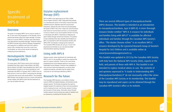There are several different types of mucopolysaccharide (MPS) diseases. This booklet is intended as an introduction to mucopolysaccharidosis, type II (MPS II). A more thorough resource binder entitled "MPS II: A resource for individuals and families living with MPS II" is available for affected individuals and families through the Canadian MPS Society's office. "The Hunter Disease eClinic" is an excellent MPS II resource developed by the Lyosomal Research Group at Toronto's Hospital for Sick Children and is available online at www.lysosomalstorageresearch.ca. This booklet was updated in 2013 by the Canadian MPS Society

with help from the National MPS Society (USA), experts in the field, and parents of those with MPS II. This booklet is not intended to replace medical advice or care. The contents of and opinions expressed in "A Guide to Understanding MPS (Mucopolysaccharidosis) II" do not necessarily reflect the views of the Canadian MPS Society or its membership. This booklet may be reproduced and copies can be obtained through the Canadian MPS Society's office or its website.

# Specific treatment of MPS II

#### **Overview**

The goals of managing MPS II are to improve quality of life, to slow down the progression of the disease, and to prevent permanent tissue and organ damage. Currently there is no cure for MPS II. However, early intervention may help prevent irreversible damage. Treatment options for MPS II include those aimed at disease management and supportive or palliative care (care that makes a person with a disease that cannot be cured more comfortable), as well as those aimed at treating the underlying enzyme deficiency.

#### Hematopoietic Stem Cell Transplant (HSCT)

For some years, HSCT (bone marrow and cord blood transplant) has been used to treat children with MPS. Some children with MPS I have benefited from HSCT, but this procedure currently is not recommended for most individuals with MPS II in Canada. HSCT in MPS II has not been proven to have any effect in preventing the damage to the brain that occurs with severe MPS II. The Canadian MPS Society may be able to put you in touch with parents whose children with MPS II have had this treatment so you may be better informed.

### Enzyme replacement therapy (ERT)

ERT for MPS II was approved by the FDA in 2006, and by Health Canada in 2007. Elaprase® (Idursulfase) is a manufactured version of the body's natural iduronate sulfatase enzyme. Elaprase improves lung function, endurance, reduces the size of the liver and decreases the levels of GAG in the urine. It does not cross the bloodbrain barrier at normal doses and thus is not anticipated to have an impact on any neurocognitive decline occurring in individuals with MPS II. Treatments of Elaprase are given weekly through intravenous infusions. For parents to fully understand the risks, benefits and limitations of ERT, it is important to talk with physicians familiar with MPS II ERT and families undergoing this treatment. The Canadian MPS Society can put you in touch with physicians and families so you can become better informed before reaching a decision.

### Living with MPS II

Disease severity varies significantly for individuals with MPS II, and it is not possible to predict the expected life span for a given individual. Those on the more slowly progressing end of the disease spectrum may have a reasonably normal lifespan. However, the availability of new and ever-improving treatments, as well as other surgical procedures, provides hope for better future outcomes for all individuals affected by MPS II.

## Research for the future

The Canadian MPS Society is committed to finding cures for MPS and related diseases, and therefore funds research grants. The Society recognizes the need for targeted research for treatment of bone and joint problems and for treating the brain, and Society research funding has focused on those areas. Information about Society funded research and promising new areas of research can be obtained by contacting the Society's office.